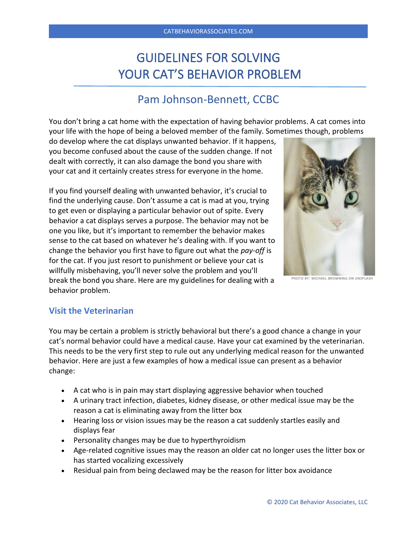# GUIDELINES FOR SOLVING YOUR CAT'S BEHAVIOR PROBLEM

# Pam Johnson-Bennett, CCBC

You don't bring a cat home with the expectation of having behavior problems. A cat comes into your life with the hope of being a beloved member of the family. Sometimes though, problems

do develop where the cat displays unwanted behavior. If it happens, you become confused about the cause of the sudden change. If not dealt with correctly, it can also damage the bond you share with your cat and it certainly creates stress for everyone in the home.

If you find yourself dealing with unwanted behavior, it's crucial to find the underlying cause. Don't assume a cat is mad at you, trying to get even or displaying a particular behavior out of spite. Every behavior a cat displays serves a purpose. The behavior may not be one you like, but it's important to remember the behavior makes sense to the cat based on whatever he's dealing with. If you want to change the behavior you first have to figure out what the *pay-off* is for the cat. If you just resort to punishment or believe your cat is willfully misbehaving, you'll never solve the problem and you'll break the bond you share. Here are my guidelines for dealing with a behavior problem.



PHOTO BY: MICHAEL BROWNING ON UNSPLASH

#### **Visit the Veterinarian**

You may be certain a problem is strictly behavioral but there's a good chance a change in your cat's normal behavior could have a medical cause. Have your cat examined by the veterinarian. This needs to be the very first step to rule out any underlying medical reason for the unwanted behavior. Here are just a few examples of how a medical issue can present as a behavior change:

- A cat who is in pain may start displaying aggressive behavior when touched
- A urinary tract infection, diabetes, kidney disease, or other medical issue may be the reason a cat is eliminating away from the litter box
- Hearing loss or vision issues may be the reason a cat suddenly startles easily and displays fear
- Personality changes may be due to hyperthyroidism
- Age-related cognitive issues may the reason an older cat no longer uses the litter box or has started vocalizing excessively
- Residual pain from being declawed may be the reason for litter box avoidance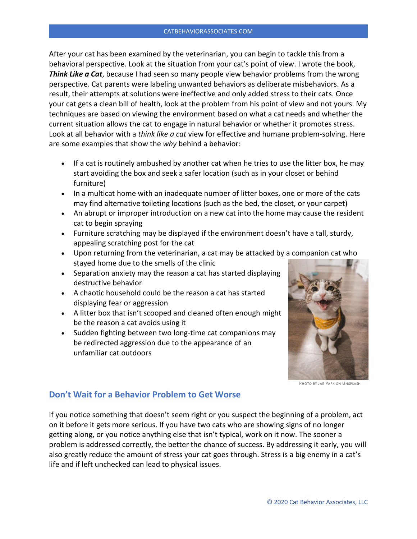After your cat has been examined by the veterinarian, you can begin to tackle this from a behavioral perspective. Look at the situation from your cat's point of view. I wrote the book, *Think Like a Cat*, because I had seen so many people view behavior problems from the wrong perspective. Cat parents were labeling unwanted behaviors as deliberate misbehaviors. As a result, their attempts at solutions were ineffective and only added stress to their cats. Once your cat gets a clean bill of health, look at the problem from his point of view and not yours. My techniques are based on viewing the environment based on what a cat needs and whether the current situation allows the cat to engage in natural behavior or whether it promotes stress. Look at all behavior with a *think like a cat* view for effective and humane problem-solving. Here are some examples that show the *why* behind a behavior:

- If a cat is routinely ambushed by another cat when he tries to use the litter box, he may start avoiding the box and seek a safer location (such as in your closet or behind furniture)
- In a multicat home with an inadequate number of litter boxes, one or more of the cats may find alternative toileting locations (such as the bed, the closet, or your carpet)
- An abrupt or improper introduction on a new cat into the home may cause the resident cat to begin spraying
- Furniture scratching may be displayed if the environment doesn't have a tall, sturdy, appealing scratching post for the cat
- Upon returning from the veterinarian, a cat may be attacked by a companion cat who stayed home due to the smells of the clinic
- Separation anxiety may the reason a cat has started displaying destructive behavior
- A chaotic household could be the reason a cat has started displaying fear or aggression
- A litter box that isn't scooped and cleaned often enough might be the reason a cat avoids using it
- Sudden fighting between two long-time cat companions may be redirected aggression due to the appearance of an unfamiliar cat outdoors



PHOTO BY JAE PARK ON UNSPLASH

#### **Don't Wait for a Behavior Problem to Get Worse**

If you notice something that doesn't seem right or you suspect the beginning of a problem, act on it before it gets more serious. If you have two cats who are showing signs of no longer getting along, or you notice anything else that isn't typical, work on it now. The sooner a problem is addressed correctly, the better the chance of success. By addressing it early, you will also greatly reduce the amount of stress your cat goes through. Stress is a big enemy in a cat's life and if left unchecked can lead to physical issues.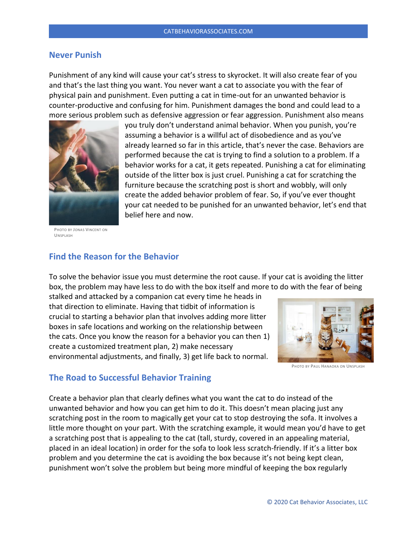#### **Never Punish**

Punishment of any kind will cause your cat's stress to skyrocket. It will also create fear of you and that's the last thing you want. You never want a cat to associate you with the fear of physical pain and punishment. Even putting a cat in time-out for an unwanted behavior is counter-productive and confusing for him. Punishment damages the bond and could lead to a more serious problem such as defensive aggression or fear aggression. Punishment also means



PHOTO BY JONAS VINCENT ON **UNSPLASH** 

you truly don't understand animal behavior. When you punish, you're assuming a behavior is a willful act of disobedience and as you've already learned so far in this article, that's never the case. Behaviors are performed because the cat is trying to find a solution to a problem. If a behavior works for a cat, it gets repeated. Punishing a cat for eliminating outside of the litter box is just cruel. Punishing a cat for scratching the furniture because the scratching post is short and wobbly, will only create the added behavior problem of fear. So, if you've ever thought your cat needed to be punished for an unwanted behavior, let's end that belief here and now.

## **Find the Reason for the Behavior**

To solve the behavior issue you must determine the root cause. If your cat is avoiding the litter box, the problem may have less to do with the box itself and more to do with the fear of being

stalked and attacked by a companion cat every time he heads in that direction to eliminate. Having that tidbit of information is crucial to starting a behavior plan that involves adding more litter boxes in safe locations and working on the relationship between the cats. Once you know the reason for a behavior you can then 1) create a customized treatment plan, 2) make necessary environmental adjustments, and finally, 3) get life back to normal.



PHOTO BY PAUL HANAOKA ON UNSPLASH

#### **The Road to Successful Behavior Training**

Create a behavior plan that clearly defines what you want the cat to do instead of the unwanted behavior and how you can get him to do it. This doesn't mean placing just any scratching post in the room to magically get your cat to stop destroying the sofa. It involves a little more thought on your part. With the scratching example, it would mean you'd have to get a scratching post that is appealing to the cat (tall, sturdy, covered in an appealing material, placed in an ideal location) in order for the sofa to look less scratch-friendly. If it's a litter box problem and you determine the cat is avoiding the box because it's not being kept clean, punishment won't solve the problem but being more mindful of keeping the box regularly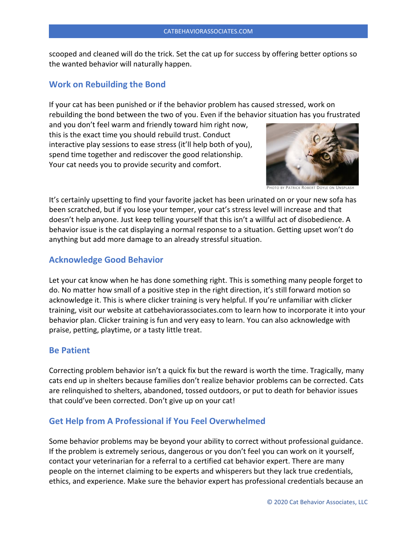scooped and cleaned will do the trick. Set the cat up for success by offering better options so the wanted behavior will naturally happen.

#### **Work on Rebuilding the Bond**

If your cat has been punished or if the behavior problem has caused stressed, work on rebuilding the bond between the two of you. Even if the behavior situation has you frustrated

and you don't feel warm and friendly toward him right now, this is the exact time you should rebuild trust. Conduct interactive play sessions to ease stress (it'll help both of you), spend time together and rediscover the good relationship. Your cat needs you to provide security and comfort.



PHOTO BY PATRICK ROBERT DOYLE ON UNSPLASH

It's certainly upsetting to find your favorite jacket has been urinated on or your new sofa has been scratched, but if you lose your temper, your cat's stress level will increase and that doesn't help anyone. Just keep telling yourself that this isn't a willful act of disobedience. A behavior issue is the cat displaying a normal response to a situation. Getting upset won't do anything but add more damage to an already stressful situation.

## **Acknowledge Good Behavior**

Let your cat know when he has done something right. This is something many people forget to do. No matter how small of a positive step in the right direction, it's still forward motion so acknowledge it. This is where clicker training is very helpful. If you're unfamiliar with clicker training, visit our website at catbehaviorassociates.com to learn how to incorporate it into your behavior plan. Clicker training is fun and very easy to learn. You can also acknowledge with praise, petting, playtime, or a tasty little treat.

#### **Be Patient**

Correcting problem behavior isn't a quick fix but the reward is worth the time. Tragically, many cats end up in shelters because families don't realize behavior problems can be corrected. Cats are relinquished to shelters, abandoned, tossed outdoors, or put to death for behavior issues that could've been corrected. Don't give up on your cat!

# **Get Help from A Professional if You Feel Overwhelmed**

Some behavior problems may be beyond your ability to correct without professional guidance. If the problem is extremely serious, dangerous or you don't feel you can work on it yourself, contact your veterinarian for a referral to a certified cat behavior expert. There are many people on the internet claiming to be experts and whisperers but they lack true credentials, ethics, and experience. Make sure the behavior expert has professional credentials because an